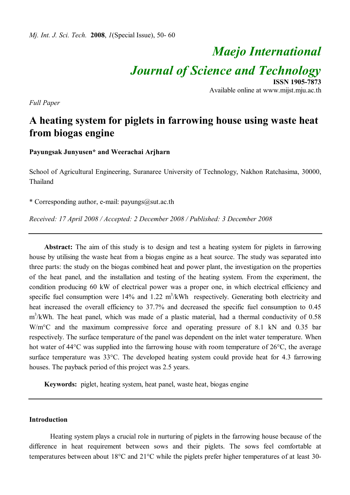# *Maejo International Journal of Science and Technology* **ISSN 1905-7873**

Available online at www.mijst.mju.ac.th

*Full Paper*

# **A heating system for piglets in farrowing house using waste heat from biogas engine**

**Payungsak Junyusen\* and Weerachai Arjharn**

School of Agricultural Engineering, Suranaree University of Technology, Nakhon Ratchasima, 30000, Thailand

\* Corresponding author, e-mail: payungs@sut.ac.th

*Received: 17 April 2008 / Accepted: 2 December 2008 / Published: 3 December 2008*

**Abstract:** The aim of this study is to design and test a heating system for piglets in farrowing house by utilising the waste heat from a biogas engine as a heat source. The study was separated into three parts: the study on the biogas combined heat and power plant, the investigation on the properties of the heat panel, and the installation and testing of the heating system. From the experiment, the condition producing 60 kW of electrical power was a proper one, in which electrical efficiency and specific fuel consumption were  $14\%$  and  $1.22 \text{ m}^3/\text{kWh}$  respectively. Generating both electricity and heat increased the overall efficiency to 37.7% and decreased the specific fuel consumption to 0.45 m<sup>3</sup>/kWh. The heat panel, which was made of a plastic material, had a thermal conductivity of 0.58 W/m<sup>o</sup>C and the maximum compressive force and operating pressure of 8.1 kN and 0.35 bar respectively. The surface temperature of the panel was dependent on the inlet water temperature. When hot water of 44 $\degree$ C was supplied into the farrowing house with room temperature of 26 $\degree$ C, the average surface temperature was  $33^{\circ}$ C. The developed heating system could provide heat for 4.3 farrowing houses. The payback period of this project was 2.5 years.

**Keywords:** piglet, heating system, heat panel, waste heat, biogas engine

#### **Introduction**

Heating system plays a crucial role in nurturing of piglets in the farrowing house because of the difference in heat requirement between sows and their piglets. The sows feel comfortable at temperatures between about 18°C and 21°C while the piglets prefer higher temperatures of at least 30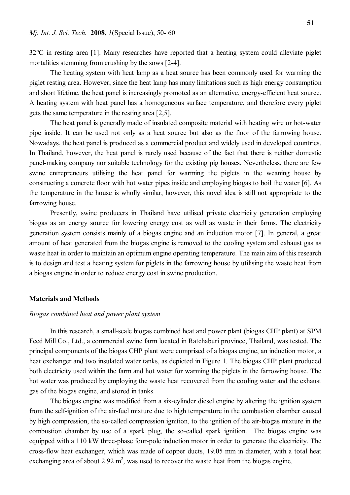32°C in resting area [1]. Many researches have reported that a heating system could alleviate piglet mortalities stemming from crushing by the sows [2-4].

The heating system with heat lamp as a heat source has been commonly used for warming the piglet resting area. However, since the heat lamp has many limitations such as high energy consumption and short lifetime, the heat panel is increasingly promoted as an alternative, energy-efficient heat source. A heating system with heat panel has a homogeneous surface temperature, and therefore every piglet gets the same temperature in the resting area [2,5].

The heat panel is generally made of insulated composite material with heating wire or hot-water pipe inside. It can be used not only as a heat source but also as the floor of the farrowing house. Nowadays, the heat panel is produced as a commercial product and widely used in developed countries. In Thailand, however, the heat panel is rarely used because of the fact that there is neither domestic panel-making company nor suitable technology for the existing pig houses. Nevertheless, there are few swine entrepreneurs utilising the heat panel for warming the piglets in the weaning house by constructing a concrete floor with hot water pipes inside and employing biogas to boil the water [6]. As the temperature in the house is wholly similar, however, this novel idea is still not appropriate to the farrowing house.

Presently, swine producers in Thailand have utilised private electricity generation employing biogas as an energy source for lowering energy cost as well as waste in their farms. The electricity generation system consists mainly of a biogas engine and an induction motor [7]. In general, a great amount of heat generated from the biogas engine is removed to the cooling system and exhaust gas as waste heat in order to maintain an optimum engine operating temperature. The main aim of this research is to design and test a heating system for piglets in the farrowing house by utilising the waste heat from a biogas engine in order to reduce energy cost in swine production.

#### **Materials and Methods**

#### *Biogas combined heat and power plant system*

In this research, a small-scale biogas combined heat and power plant (biogas CHP plant) at SPM Feed Mill Co., Ltd., a commercial swine farm located in Ratchaburi province, Thailand, was tested. The principal components of the biogas CHP plant were comprised of a biogas engine, an induction motor, a heat exchanger and two insulated water tanks, as depicted in Figure 1. The biogas CHP plant produced both electricity used within the farm and hot water for warming the piglets in the farrowing house. The hot water was produced by employing the waste heat recovered from the cooling water and the exhaust gas of the biogas engine, and stored in tanks.

The biogas engine was modified from a six-cylinder diesel engine by altering the ignition system from the self-ignition of the air-fuel mixture due to high temperature in the combustion chamber caused by high compression, the so-called compression ignition, to the ignition of the air-biogas mixture in the combustion chamber by use of a spark plug, the so-called spark ignition. The biogas engine was equipped with a 110 kW three-phase four-pole induction motor in order to generate the electricity. The cross-flow heat exchanger, which was made of copper ducts, 19.05 mm in diameter, with a total heat exchanging area of about 2.92  $m^2$ , was used to recover the waste heat from the biogas engine.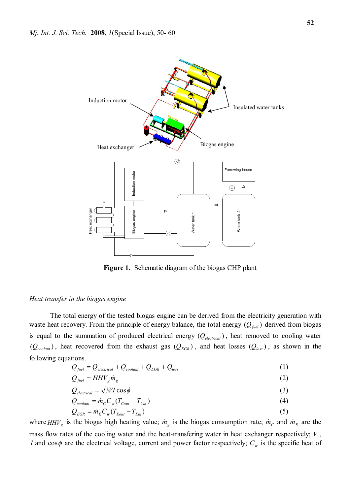

**Figure 1.** Schematic diagram of the biogas CHP plant

#### *Heat transfer in the biogas engine*

The total energy of the tested biogas engine can be derived from the electricity generation with waste heat recovery. From the principle of energy balance, the total energy  $(Q_{\text{fuel}})$  derived from biogas is equal to the summation of produced electrical energy  $(Q_{\text{electrical}})$ , heat removed to cooling water  $(Q_{\text{codant}})$ , heat recovered from the exhaust gas  $(Q_{\text{EGR}})$ , and heat losses  $(Q_{\text{loss}})$ , as shown in the following equations.

$$
Q_{\text{fuel}} = Q_{\text{electrical}} + Q_{\text{coolant}} + Q_{\text{EGR}} + Q_{\text{loss}}
$$
\n(1)

$$
Q_{\text{fuel}} = HHV_{g}\dot{m}_{g} \tag{2}
$$

$$
Q_{electrical} = \sqrt{3VI \cos \phi} \tag{3}
$$

$$
Q_{\text{codant}} = \dot{m}_C C_w (T_{\text{Cout}} - T_{\text{Cin}}) \tag{4}
$$

$$
Q_{EGR} = \dot{m}_E C_w (T_{Eout} - T_{Ein})
$$
\n<sup>(5)</sup>

where  $HHV_g$  is the biogas high heating value;  $\dot{m}_g$  is the biogas consumption rate;  $\dot{m}_c$  and  $\dot{m}_E$  are the mass flow rates of the cooling water and the heat-transfering water in heat exchanger respectively; *V* , *I* and cos $\phi$  are the electrical voltage, current and power factor respectively;  $C_w$  is the specific heat of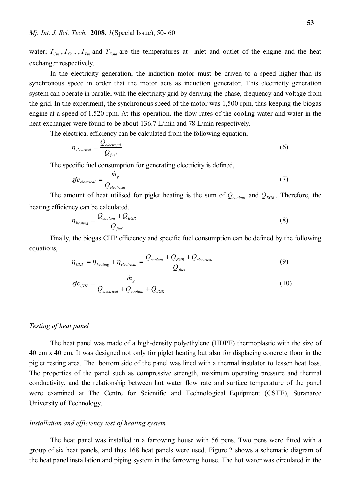water;  $T_{\text{C}in}$ ,  $T_{\text{C}out}$ ,  $T_{\text{E}in}$  and  $T_{\text{E}out}$  are the temperatures at inlet and outlet of the engine and the heat exchanger respectively.

In the electricity generation, the induction motor must be driven to a speed higher than its synchronous speed in order that the motor acts as induction generator. This electricity generation system can operate in parallel with the electricity grid by deriving the phase, frequency and voltage from the grid. In the experiment, the synchronous speed of the motor was 1,500 rpm, thus keeping the biogas engine at a speed of 1,520 rpm. At this operation, the flow rates of the cooling water and water in the heat exchanger were found to be about 136.7 L/min and 78 L/min respectively.

The electrical efficiency can be calculated from the following equation,

$$
\eta_{\text{electrical}} = \frac{Q_{\text{electrical}}}{Q_{\text{fuel}}}
$$
\n(6)

The specific fuel consumption for generating electricity is defined,

$$
sfc_{electrical} = \frac{\dot{m}_g}{Q_{electrical}}
$$
 (7)

The amount of heat utilised for piglet heating is the sum of  $Q_{\text{coolant}}$  and  $Q_{\text{EGR}}$ . Therefore, the heating efficiency can be calculated,

$$
\eta_{\text{heating}} = \frac{Q_{\text{coolant}} + Q_{\text{EGR}}}{Q_{\text{fuel}}}
$$
\n(8)

Finally, the biogas CHP efficiency and specific fuel consumption can be defined by the following equations,

$$
\eta_{CHP} = \eta_{heating} + \eta_{electrical} = \frac{Q_{coolant} + Q_{EGR} + Q_{electrical}}{Q_{fuel}}
$$
\n(9)

$$
sfc_{CHP} = \frac{\dot{m}_g}{Q_{electrical} + Q_{coolant} + Q_{EGR}}
$$
(10)

#### *Testing of heat panel*

The heat panel was made of a high-density polyethylene (HDPE) thermoplastic with the size of 40 cm x 40 cm. It was designed not only for piglet heating but also for displacing concrete floor in the piglet resting area. The bottom side of the panel was lined with a thermal insulator to lessen heat loss. The properties of the panel such as compressive strength, maximum operating pressure and thermal conductivity, and the relationship between hot water flow rate and surface temperature of the panel were examined at The Centre for Scientific and Technological Equipment (CSTE), Suranaree University of Technology.

#### *Installation and efficiency test of heating system*

The heat panel was installed in a farrowing house with 56 pens. Two pens were fitted with a group of six heat panels, and thus 168 heat panels were used. Figure 2 shows a schematic diagram of the heat panel installation and piping system in the farrowing house. The hot water was circulated in the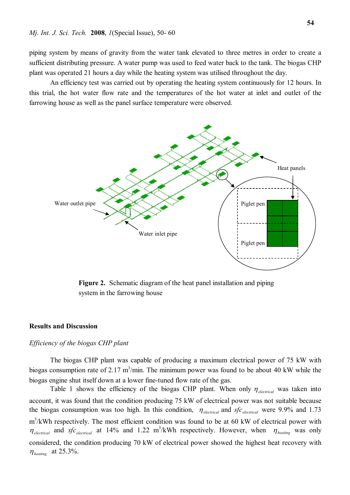piping system by means of gravity from the water tank elevated to three metres in order to create a sufficient distributing pressure. A water pump was used to feed water back to the tank. The biogas CHP plant was operated 21 hours a day while the heating system was utilised throughout the day.

An efficiency test was carried out by operating the heating system continuously for 12 hours. In this trial, the hot water flow rate and the temperatures of the hot water at inlet and outlet of the farrowing house as well as the panel surface temperature were observed.



**Figure 2.** Schematic diagram of the heat panel installation and piping system in the farrowing house

# **Results and Discussion**

#### *Efficiency of the biogas CHP plant*

The biogas CHP plant was capable of producing a maximum electrical power of 75 kW with biogas consumption rate of 2.17 m<sup>3</sup>/min. The minimum power was found to be about 40 kW while the biogas engine shut itself down at a lower fine-tuned flow rate of the gas.

Table 1 shows the efficiency of the biogas CHP plant. When only  $\eta_{electrical}$  was taken into account, it was found that the condition producing 75 kW of electrical power was not suitable because the biogas consumption was too high. In this condition,  $\eta_{electrical}$  and  $sfc_{electrical}$  were 9.9% and 1.73 m<sup>3</sup>/kWh respectively. The most efficient condition was found to be at 60 kW of electrical power with  $n_{electrical}$  and *sfc* electrical at 14% and 1.22 m<sup>3</sup>/kWh respectively. However, when  $n_{heating}$  was only considered, the condition producing 70 kW of electrical power showed the highest heat recovery with  $\eta_{\text{heating}}$  at 25.3%.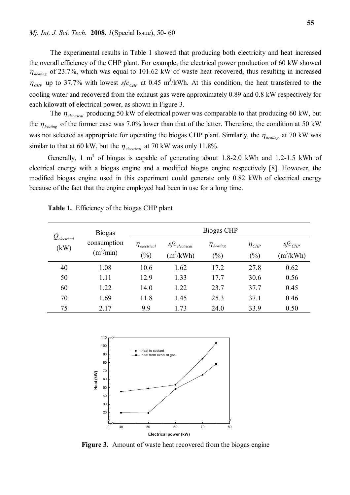The experimental results in Table 1 showed that producing both electricity and heat increased the overall efficiency of the CHP plant. For example, the electrical power production of 60 kW showed  $\eta_{\text{heating}}$  of 23.7%, which was equal to 101.62 kW of waste heat recovered, thus resulting in increased  $\eta_{CHP}$  up to 37.7% with lowest *sfc<sub>CHP</sub>* at 0.45 m<sup>3</sup>/kWh. At this condition, the heat transferred to the cooling water and recovered from the exhaust gas were approximately 0.89 and 0.8 kW respectively for each kilowatt of electrical power, as shown in Figure 3.

The  $\eta_{electrical}$  producing 50 kW of electrical power was comparable to that producing 60 kW, but the  $\eta_{\text{heating}}$  of the former case was 7.0% lower than that of the latter. Therefore, the condition at 50 kW was not selected as appropriate for operating the biogas CHP plant. Similarly, the  $\eta_{\text{heating}}$  at 70 kW was similar to that at 60 kW, but the  $\eta_{electrical}$  at 70 kW was only 11.8%.

Generally, 1  $m<sup>3</sup>$  of biogas is capable of generating about 1.8-2.0 kWh and 1.2-1.5 kWh of electrical energy with a biogas engine and a modified biogas engine respectively [8]. However, the modified biogas engine used in this experiment could generate only 0.82 kWh of electrical energy because of the fact that the engine employed had been in use for a long time.

| $Q_{\tiny{electrical}}$<br>(kW) | <b>Biogas</b><br>consumption<br>$(m^3/\text{min})$ | Biogas CHP                                      |                                            |                                   |                                 |                                              |
|---------------------------------|----------------------------------------------------|-------------------------------------------------|--------------------------------------------|-----------------------------------|---------------------------------|----------------------------------------------|
|                                 |                                                    | $\eta$ electrical<br>$\left(\frac{0}{0}\right)$ | $\mathit{SfC}_{electrical}$<br>$(m^3/kWh)$ | $\eta_{\text{heating}}$<br>$(\%)$ | $\eta_{\textit{CHP}}$<br>$(\%)$ | $\mathit{sfc}_{\mathit{CHP}}$<br>$(m^3/kWh)$ |
| 40                              | 1.08                                               | 10.6                                            | 1.62                                       | 17.2                              | 27.8                            | 0.62                                         |
| 50                              | 1.11                                               | 12.9                                            | 1.33                                       | 17.7                              | 30.6                            | 0.56                                         |
| 60                              | 1.22                                               | 14.0                                            | 1.22                                       | 23.7                              | 37.7                            | 0.45                                         |
| 70                              | 1.69                                               | 11.8                                            | 1.45                                       | 25.3                              | 37.1                            | 0.46                                         |
| 75                              | 2.17                                               | 9.9                                             | 1.73                                       | 24.0                              | 33.9                            | 0.50                                         |

|  | <b>Table 1.</b> Efficiency of the biogas CHP plant |  |  |  |  |
|--|----------------------------------------------------|--|--|--|--|
|--|----------------------------------------------------|--|--|--|--|



**Figure 3.** Amount of waste heat recovered from the biogas engine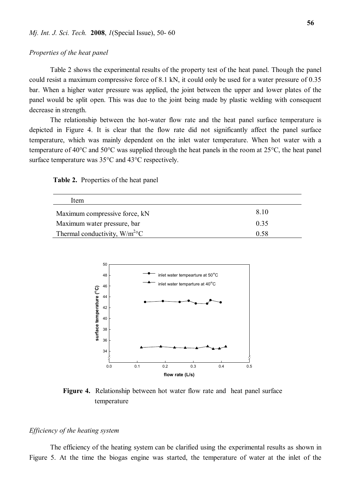#### *Properties of the heat panel*

Table 2 shows the experimental results of the property test of the heat panel. Though the panel could resist a maximum compressive force of 8.1 kN, it could only be used for a water pressure of 0.35 bar. When a higher water pressure was applied, the joint between the upper and lower plates of the panel would be split open. This was due to the joint being made by plastic welding with consequent decrease in strength.

The relationship between the hot-water flow rate and the heat panel surface temperature is depicted in Figure 4. It is clear that the flow rate did not significantly affect the panel surface temperature, which was mainly dependent on the inlet water temperature. When hot water with a temperature of 40°C and 50°C was supplied through the heat panels in the room at 25°C, the heat panel surface temperature was 35°C and 43°C respectively.

|  | <b>Table 2.</b> Properties of the heat panel |  |  |  |
|--|----------------------------------------------|--|--|--|
|--|----------------------------------------------|--|--|--|

| Item                                         |      |
|----------------------------------------------|------|
| Maximum compressive force, kN                | 8.10 |
| Maximum water pressure, bar                  | 0.35 |
| Thermal conductivity, $W/m^2$ <sup>o</sup> C | 0.58 |



**Figure 4.** Relationship between hot water flow rate and heat panel surface temperature

# *Efficiency of the heating system*

The efficiency of the heating system can be clarified using the experimental results as shown in Figure 5. At the time the biogas engine was started, the temperature of water at the inlet of the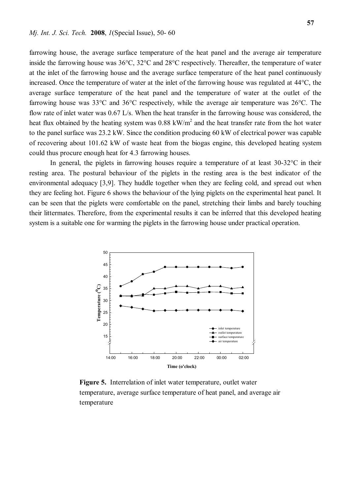farrowing house, the average surface temperature of the heat panel and the average air temperature inside the farrowing house was 36°C, 32°C and 28°C respectively. Thereafter, the temperature of water at the inlet of the farrowing house and the average surface temperature of the heat panel continuously increased. Once the temperature of water at the inlet of the farrowing house was regulated at 44°C, the average surface temperature of the heat panel and the temperature of water at the outlet of the farrowing house was 33°C and 36°C respectively, while the average air temperature was 26°C. The flow rate of inlet water was 0.67 L/s. When the heat transfer in the farrowing house was considered, the heat flux obtained by the heating system was  $0.88 \text{ kW/m}^2$  and the heat transfer rate from the hot water to the panel surface was 23.2 kW. Since the condition producing 60 kW of electrical power was capable of recovering about 101.62 kW of waste heat from the biogas engine, this developed heating system could thus procure enough heat for 4.3 farrowing houses.

In general, the piglets in farrowing houses require a temperature of at least 30-32°C in their resting area. The postural behaviour of the piglets in the resting area is the best indicator of the environmental adequacy [3,9]. They huddle together when they are feeling cold, and spread out when they are feeling hot. Figure 6 shows the behaviour of the lying piglets on the experimental heat panel. It can be seen that the piglets were comfortable on the panel, stretching their limbs and barely touching their littermates. Therefore, from the experimental results it can be inferred that this developed heating system is a suitable one for warming the piglets in the farrowing house under practical operation.



**Figure 5.** Interrelation of inlet water temperature, outlet water temperature, average surface temperature of heat panel, and average air temperature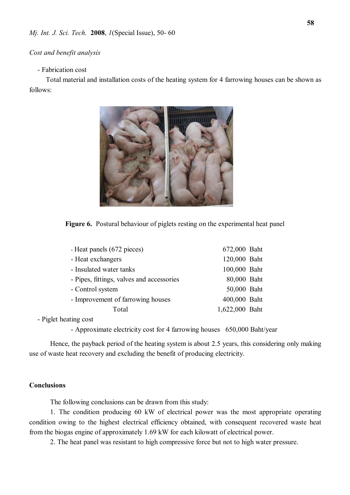#### *Cost and benefit analysis*

### - Fabrication cost

Total material and installation costs of the heating system for 4 farrowing houses can be shown as follows:



**Figure 6.** Postural behaviour of piglets resting on the experimental heat panel

| - Heat panels (672 pieces)                | 672,000 Baht   |  |
|-------------------------------------------|----------------|--|
| - Heat exchangers                         | 120,000 Baht   |  |
| - Insulated water tanks                   | 100,000 Baht   |  |
| - Pipes, fittings, valves and accessories | 80,000 Baht    |  |
| - Control system                          | 50,000 Baht    |  |
| - Improvement of farrowing houses         | 400,000 Baht   |  |
| Total                                     | 1,622,000 Baht |  |
|                                           |                |  |

- Piglet heating cost

- Approximate electricity cost for 4 farrowing houses 650,000 Baht/year

Hence, the payback period of the heating system is about 2.5 years, this considering only making use of waste heat recovery and excluding the benefit of producing electricity.

#### **Conclusions**

The following conclusions can be drawn from this study:

1. The condition producing 60 kW of electrical power was the most appropriate operating condition owing to the highest electrical efficiency obtained, with consequent recovered waste heat from the biogas engine of approximately 1.69 kW for each kilowatt of electrical power.

2. The heat panel was resistant to high compressive force but not to high water pressure.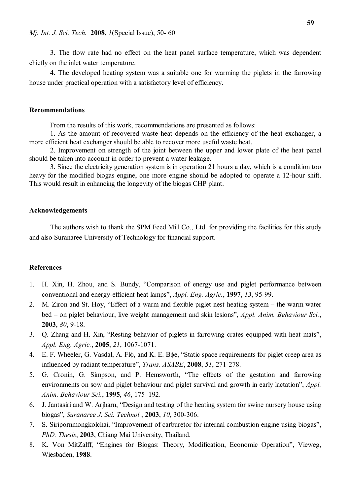3. The flow rate had no effect on the heat panel surface temperature, which was dependent chiefly on the inlet water temperature.

4. The developed heating system was a suitable one for warming the piglets in the farrowing house under practical operation with a satisfactory level of efficiency.

#### **Recommendations**

From the results of this work, recommendations are presented as follows:

1. As the amount of recovered waste heat depends on the efficiency of the heat exchanger, a more efficient heat exchanger should be able to recover more useful waste heat.

2. Improvement on strength of the joint between the upper and lower plate of the heat panel should be taken into account in order to prevent a water leakage.

3. Since the electricity generation system is in operation 21 hours a day, which is a condition too heavy for the modified biogas engine, one more engine should be adopted to operate a 12-hour shift. This would result in enhancing the longevity of the biogas CHP plant.

#### **Acknowledgements**

The authors wish to thank the SPM Feed Mill Co., Ltd. for providing the facilities for this study and also Suranaree University of Technology for financial support.

#### **References**

- 1. H. Xin, H. Zhou, and S. Bundy, "Comparison of energy use and piglet performance between conventional and energy-efficient heat lamps", *Appl. Eng. Agric.*, **1997**, *13*, 95-99.
- 2. M. Ziron and St. Hoy, "Effect of a warm and flexible piglet nest heating system the warm water bed – on piglet behaviour, live weight management and skin lesions", *Appl. Anim. Behaviour Sci.*, **2003**, *80*, 9-18.
- 3. Q. Zhang and H. Xin, "Resting behavior of piglets in farrowing crates equipped with heat mats", *Appl. Eng. Agric.*, **2005**, *21*, 1067-1071.
- 4. E. F. Wheeler, G. Vasdal, A. Fl $\phi$ , and K. E. B $\phi$ e, "Static space requirements for piglet creep area as influenced by radiant temperature", *Trans. ASABE*, **2008**, *51*, 271-278.
- 5. G. Cronin, G. Simpson, and P. Hemsworth, "The effects of the gestation and farrowing environments on sow and piglet behaviour and piglet survival and growth in early lactation", *Appl. Anim. Behaviour Sci.*, **1995**, *46*, 175–192.
- 6. J. Jantasiri and W. Arjharn, "Design and testing of the heating system for swine nursery house using biogas", *Suranaree J. Sci. Technol.*, **2003**, *10*, 300-306.
- 7. S. Siripornmongkolchai, "Improvement of carburetor for internal combustion engine using biogas", *PhD. Thesis*, **2003**, Chiang Mai University, Thailand.
- 8. K. Von MitZalff, "Engines for Biogas: Theory, Modification, Economic Operation", Vieweg, Wiesbaden, **1988**.